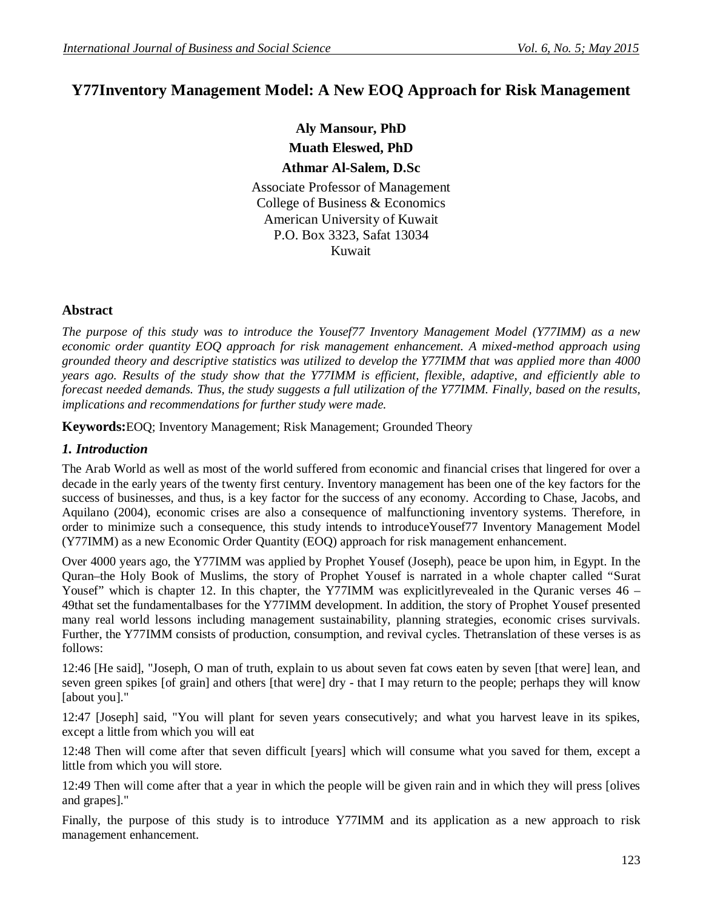# **Y77Inventory Management Model: A New EOQ Approach for Risk Management**

**Aly Mansour, PhD Muath Eleswed, PhD Athmar Al-Salem, D.Sc**

Associate Professor of Management College of Business & Economics American University of Kuwait P.O. Box 3323, Safat 13034 Kuwait

### **Abstract**

*The purpose of this study was to introduce the Yousef77 Inventory Management Model (Y77IMM) as a new economic order quantity EOQ approach for risk management enhancement. A mixed-method approach using grounded theory and descriptive statistics was utilized to develop the Y77IMM that was applied more than 4000 years ago. Results of the study show that the Y77IMM is efficient, flexible, adaptive, and efficiently able to forecast needed demands. Thus, the study suggests a full utilization of the Y77IMM. Finally, based on the results, implications and recommendations for further study were made.* 

**Keywords:**EOQ; Inventory Management; Risk Management; Grounded Theory

## *1. Introduction*

The Arab World as well as most of the world suffered from economic and financial crises that lingered for over a decade in the early years of the twenty first century. Inventory management has been one of the key factors for the success of businesses, and thus, is a key factor for the success of any economy. According to Chase, Jacobs, and Aquilano (2004), economic crises are also a consequence of malfunctioning inventory systems. Therefore, in order to minimize such a consequence, this study intends to introduceYousef77 Inventory Management Model (Y77IMM) as a new Economic Order Quantity (EOQ) approach for risk management enhancement.

Over 4000 years ago, the Y77IMM was applied by Prophet Yousef (Joseph), peace be upon him, in Egypt. In the Quran–the Holy Book of Muslims, the story of Prophet Yousef is narrated in a whole chapter called "Surat Yousef" which is chapter 12. In this chapter, the Y77IMM was explicitly revealed in the Quranic verses  $46 -$ 49that set the fundamentalbases for the Y77IMM development. In addition, the story of Prophet Yousef presented many real world lessons including management sustainability, planning strategies, economic crises survivals. Further, the Y77IMM consists of production, consumption, and revival cycles. Thetranslation of these verses is as follows:

12:46 [He said], "Joseph, O man of truth, explain to us about seven fat cows eaten by seven [that were] lean, and seven green spikes [of grain] and others [that were] dry - that I may return to the people; perhaps they will know [about you]."

12:47 [Joseph] said, "You will plant for seven years consecutively; and what you harvest leave in its spikes, except a little from which you will eat

12:48 Then will come after that seven difficult [years] which will consume what you saved for them, except a little from which you will store.

12:49 Then will come after that a year in which the people will be given rain and in which they will press [olives and grapes]."

Finally, the purpose of this study is to introduce Y77IMM and its application as a new approach to risk management enhancement.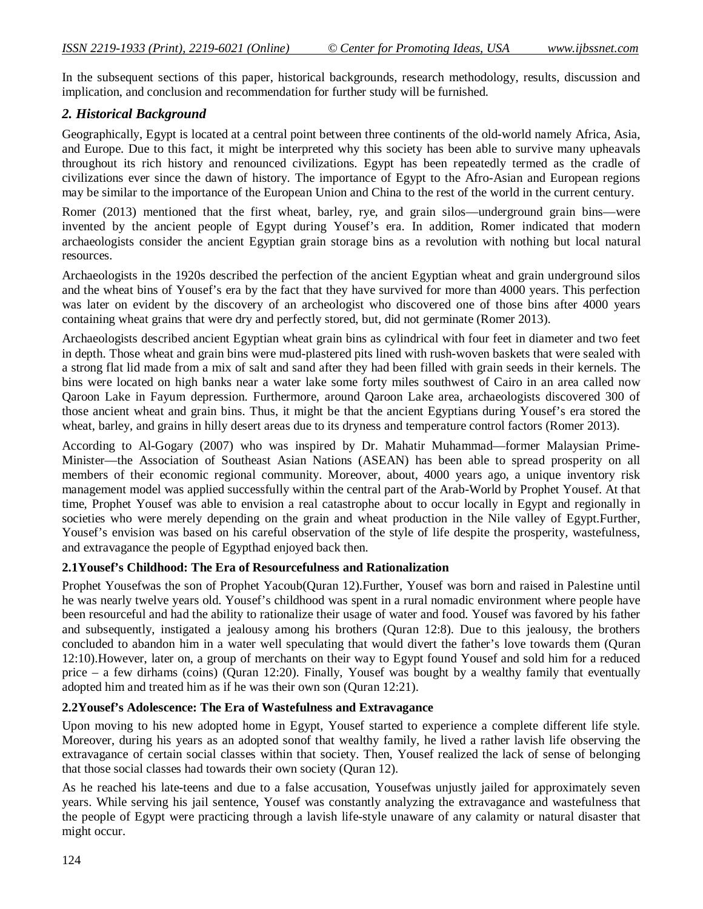In the subsequent sections of this paper, historical backgrounds, research methodology, results, discussion and implication, and conclusion and recommendation for further study will be furnished.

#### *2. Historical Background*

Geographically, Egypt is located at a central point between three continents of the old-world namely Africa, Asia, and Europe. Due to this fact, it might be interpreted why this society has been able to survive many upheavals throughout its rich history and renounced civilizations. Egypt has been repeatedly termed as the cradle of civilizations ever since the dawn of history. The importance of Egypt to the Afro-Asian and European regions may be similar to the importance of the European Union and China to the rest of the world in the current century.

Romer (2013) mentioned that the first wheat, barley, rye, and grain silos—underground grain bins—were invented by the ancient people of Egypt during Yousef's era. In addition, Romer indicated that modern archaeologists consider the ancient Egyptian grain storage bins as a revolution with nothing but local natural resources.

Archaeologists in the 1920s described the perfection of the ancient Egyptian wheat and grain underground silos and the wheat bins of Yousef's era by the fact that they have survived for more than 4000 years. This perfection was later on evident by the discovery of an archeologist who discovered one of those bins after 4000 years containing wheat grains that were dry and perfectly stored, but, did not germinate (Romer 2013).

Archaeologists described ancient Egyptian wheat grain bins as cylindrical with four feet in diameter and two feet in depth. Those wheat and grain bins were mud-plastered pits lined with rush-woven baskets that were sealed with a strong flat lid made from a mix of salt and sand after they had been filled with grain seeds in their kernels. The bins were located on high banks near a water lake some forty miles southwest of Cairo in an area called now Qaroon Lake in Fayum depression. Furthermore, around Qaroon Lake area, archaeologists discovered 300 of those ancient wheat and grain bins. Thus, it might be that the ancient Egyptians during Yousef's era stored the wheat, barley, and grains in hilly desert areas due to its dryness and temperature control factors (Romer 2013).

According to Al-Gogary (2007) who was inspired by Dr. Mahatir Muhammad—former Malaysian Prime-Minister—the Association of Southeast Asian Nations (ASEAN) has been able to spread prosperity on all members of their economic regional community. Moreover, about, 4000 years ago, a unique inventory risk management model was applied successfully within the central part of the Arab-World by Prophet Yousef. At that time, Prophet Yousef was able to envision a real catastrophe about to occur locally in Egypt and regionally in societies who were merely depending on the grain and wheat production in the Nile valley of Egypt.Further, Yousef's envision was based on his careful observation of the style of life despite the prosperity, wastefulness, and extravagance the people of Egypthad enjoyed back then.

#### **2.1Yousef's Childhood: The Era of Resourcefulness and Rationalization**

Prophet Yousefwas the son of Prophet Yacoub(Quran 12).Further, Yousef was born and raised in Palestine until he was nearly twelve years old. Yousef's childhood was spent in a rural nomadic environment where people have been resourceful and had the ability to rationalize their usage of water and food. Yousef was favored by his father and subsequently, instigated a jealousy among his brothers (Quran 12:8). Due to this jealousy, the brothers concluded to abandon him in a water well speculating that would divert the father's love towards them (Quran 12:10).However, later on, a group of merchants on their way to Egypt found Yousef and sold him for a reduced price – a few dirhams (coins) (Quran 12:20). Finally, Yousef was bought by a wealthy family that eventually adopted him and treated him as if he was their own son (Quran 12:21).

## **2.2Yousef's Adolescence: The Era of Wastefulness and Extravagance**

Upon moving to his new adopted home in Egypt, Yousef started to experience a complete different life style. Moreover, during his years as an adopted sonof that wealthy family, he lived a rather lavish life observing the extravagance of certain social classes within that society. Then, Yousef realized the lack of sense of belonging that those social classes had towards their own society (Quran 12).

As he reached his late-teens and due to a false accusation, Yousefwas unjustly jailed for approximately seven years. While serving his jail sentence, Yousef was constantly analyzing the extravagance and wastefulness that the people of Egypt were practicing through a lavish life-style unaware of any calamity or natural disaster that might occur.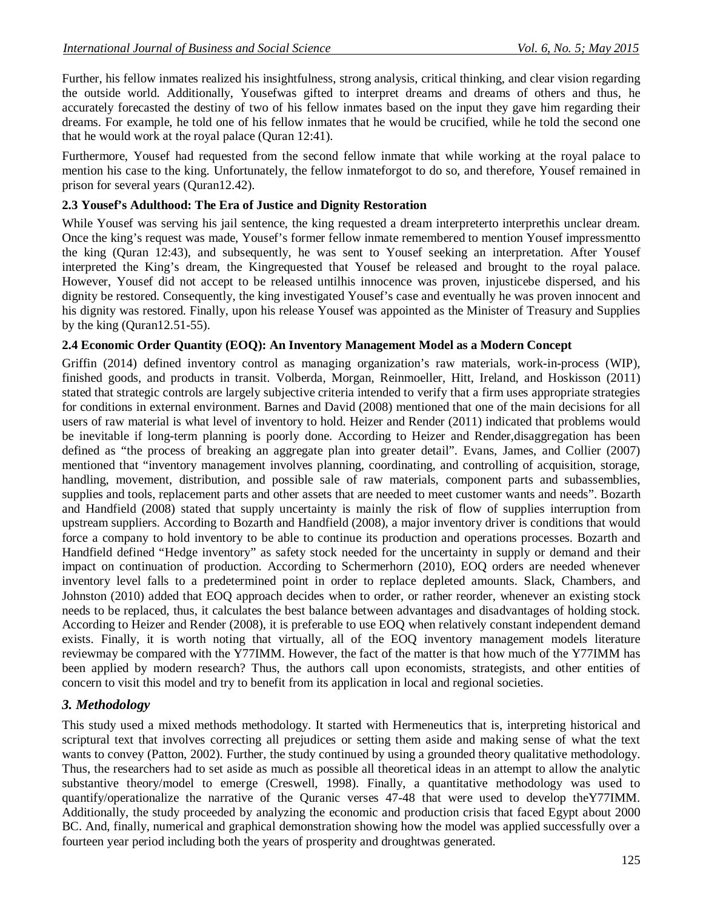Further, his fellow inmates realized his insightfulness, strong analysis, critical thinking, and clear vision regarding the outside world. Additionally, Yousefwas gifted to interpret dreams and dreams of others and thus, he accurately forecasted the destiny of two of his fellow inmates based on the input they gave him regarding their dreams. For example, he told one of his fellow inmates that he would be crucified, while he told the second one that he would work at the royal palace (Quran 12:41).

Furthermore, Yousef had requested from the second fellow inmate that while working at the royal palace to mention his case to the king. Unfortunately, the fellow inmateforgot to do so, and therefore, Yousef remained in prison for several years (Quran12.42).

#### **2.3 Yousef's Adulthood: The Era of Justice and Dignity Restoration**

While Yousef was serving his jail sentence, the king requested a dream interpreterto interprethis unclear dream. Once the king's request was made, Yousef's former fellow inmate remembered to mention Yousef impressmentto the king (Quran 12:43), and subsequently, he was sent to Yousef seeking an interpretation. After Yousef interpreted the King's dream, the Kingrequested that Yousef be released and brought to the royal palace. However, Yousef did not accept to be released untilhis innocence was proven, injusticebe dispersed, and his dignity be restored. Consequently, the king investigated Yousef's case and eventually he was proven innocent and his dignity was restored. Finally, upon his release Yousef was appointed as the Minister of Treasury and Supplies by the king (Quran12.51-55).

### **2.4 Economic Order Quantity (EOQ): An Inventory Management Model as a Modern Concept**

Griffin (2014) defined inventory control as managing organization's raw materials, work-in-process (WIP), finished goods, and products in transit. Volberda, Morgan, Reinmoeller, Hitt, Ireland, and Hoskisson (2011) stated that strategic controls are largely subjective criteria intended to verify that a firm uses appropriate strategies for conditions in external environment. Barnes and David (2008) mentioned that one of the main decisions for all users of raw material is what level of inventory to hold. Heizer and Render (2011) indicated that problems would be inevitable if long-term planning is poorly done. According to Heizer and Render,disaggregation has been defined as "the process of breaking an aggregate plan into greater detail". Evans, James, and Collier (2007) mentioned that "inventory management involves planning, coordinating, and controlling of acquisition, storage, handling, movement, distribution, and possible sale of raw materials, component parts and subassemblies, supplies and tools, replacement parts and other assets that are needed to meet customer wants and needs". Bozarth and Handfield (2008) stated that supply uncertainty is mainly the risk of flow of supplies interruption from upstream suppliers. According to Bozarth and Handfield (2008), a major inventory driver is conditions that would force a company to hold inventory to be able to continue its production and operations processes. Bozarth and Handfield defined "Hedge inventory" as safety stock needed for the uncertainty in supply or demand and their impact on continuation of production. According to Schermerhorn (2010), EOQ orders are needed whenever inventory level falls to a predetermined point in order to replace depleted amounts. Slack, Chambers, and Johnston (2010) added that EOQ approach decides when to order, or rather reorder, whenever an existing stock needs to be replaced, thus, it calculates the best balance between advantages and disadvantages of holding stock. According to Heizer and Render (2008), it is preferable to use EOQ when relatively constant independent demand exists. Finally, it is worth noting that virtually, all of the EOQ inventory management models literature reviewmay be compared with the Y77IMM. However, the fact of the matter is that how much of the Y77IMM has been applied by modern research? Thus, the authors call upon economists, strategists, and other entities of concern to visit this model and try to benefit from its application in local and regional societies.

### *3. Methodology*

This study used a mixed methods methodology. It started with Hermeneutics that is, interpreting historical and scriptural text that involves correcting all prejudices or setting them aside and making sense of what the text wants to convey (Patton, 2002). Further, the study continued by using a grounded theory qualitative methodology. Thus, the researchers had to set aside as much as possible all theoretical ideas in an attempt to allow the analytic substantive theory/model to emerge (Creswell, 1998). Finally, a quantitative methodology was used to quantify/operationalize the narrative of the Quranic verses 47-48 that were used to develop theY77IMM. Additionally, the study proceeded by analyzing the economic and production crisis that faced Egypt about 2000 BC. And, finally, numerical and graphical demonstration showing how the model was applied successfully over a fourteen year period including both the years of prosperity and droughtwas generated.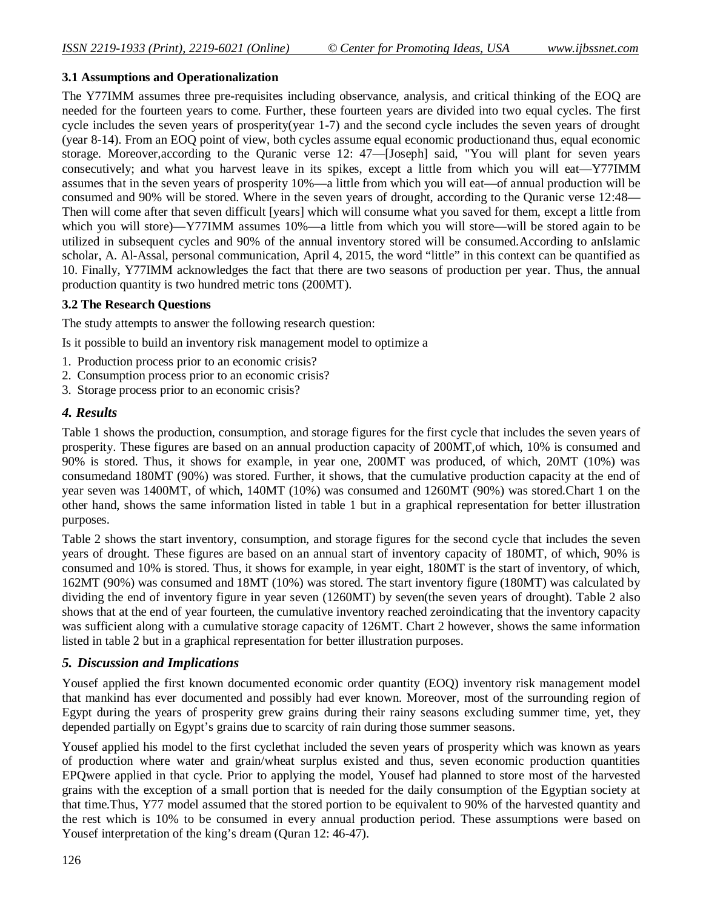#### **3.1 Assumptions and Operationalization**

The Y77IMM assumes three pre-requisites including observance, analysis, and critical thinking of the EOQ are needed for the fourteen years to come. Further, these fourteen years are divided into two equal cycles. The first cycle includes the seven years of prosperity(year 1-7) and the second cycle includes the seven years of drought (year 8-14). From an EOQ point of view, both cycles assume equal economic productionand thus, equal economic storage. Moreover,according to the Quranic verse 12: 47—[Joseph] said, "You will plant for seven years consecutively; and what you harvest leave in its spikes, except a little from which you will eat—Y77IMM assumes that in the seven years of prosperity 10%—a little from which you will eat—of annual production will be consumed and 90% will be stored. Where in the seven years of drought, according to the Quranic verse 12:48— Then will come after that seven difficult [years] which will consume what you saved for them, except a little from which you will store)—Y77IMM assumes 10%—a little from which you will store—will be stored again to be utilized in subsequent cycles and 90% of the annual inventory stored will be consumed.According to anIslamic scholar, A. Al-Assal, personal communication, April 4, 2015, the word "little" in this context can be quantified as 10. Finally, Y77IMM acknowledges the fact that there are two seasons of production per year. Thus, the annual production quantity is two hundred metric tons (200MT).

#### **3.2 The Research Questions**

The study attempts to answer the following research question:

Is it possible to build an inventory risk management model to optimize a

- 1. Production process prior to an economic crisis?
- 2. Consumption process prior to an economic crisis?
- 3. Storage process prior to an economic crisis?

### *4. Results*

Table 1 shows the production, consumption, and storage figures for the first cycle that includes the seven years of prosperity. These figures are based on an annual production capacity of 200MT,of which, 10% is consumed and 90% is stored. Thus, it shows for example, in year one, 200MT was produced, of which, 20MT (10%) was consumedand 180MT (90%) was stored. Further, it shows, that the cumulative production capacity at the end of year seven was 1400MT, of which, 140MT (10%) was consumed and 1260MT (90%) was stored.Chart 1 on the other hand, shows the same information listed in table 1 but in a graphical representation for better illustration purposes.

Table 2 shows the start inventory, consumption, and storage figures for the second cycle that includes the seven years of drought. These figures are based on an annual start of inventory capacity of 180MT, of which, 90% is consumed and 10% is stored. Thus, it shows for example, in year eight, 180MT is the start of inventory, of which, 162MT (90%) was consumed and 18MT (10%) was stored. The start inventory figure (180MT) was calculated by dividing the end of inventory figure in year seven (1260MT) by seven(the seven years of drought). Table 2 also shows that at the end of year fourteen, the cumulative inventory reached zeroindicating that the inventory capacity was sufficient along with a cumulative storage capacity of 126MT. Chart 2 however, shows the same information listed in table 2 but in a graphical representation for better illustration purposes.

### *5. Discussion and Implications*

Yousef applied the first known documented economic order quantity (EOQ) inventory risk management model that mankind has ever documented and possibly had ever known. Moreover, most of the surrounding region of Egypt during the years of prosperity grew grains during their rainy seasons excluding summer time, yet, they depended partially on Egypt's grains due to scarcity of rain during those summer seasons.

Yousef applied his model to the first cyclethat included the seven years of prosperity which was known as years of production where water and grain/wheat surplus existed and thus, seven economic production quantities EPQwere applied in that cycle. Prior to applying the model, Yousef had planned to store most of the harvested grains with the exception of a small portion that is needed for the daily consumption of the Egyptian society at that time.Thus, Y77 model assumed that the stored portion to be equivalent to 90% of the harvested quantity and the rest which is 10% to be consumed in every annual production period. These assumptions were based on Yousef interpretation of the king's dream (Quran 12: 46-47).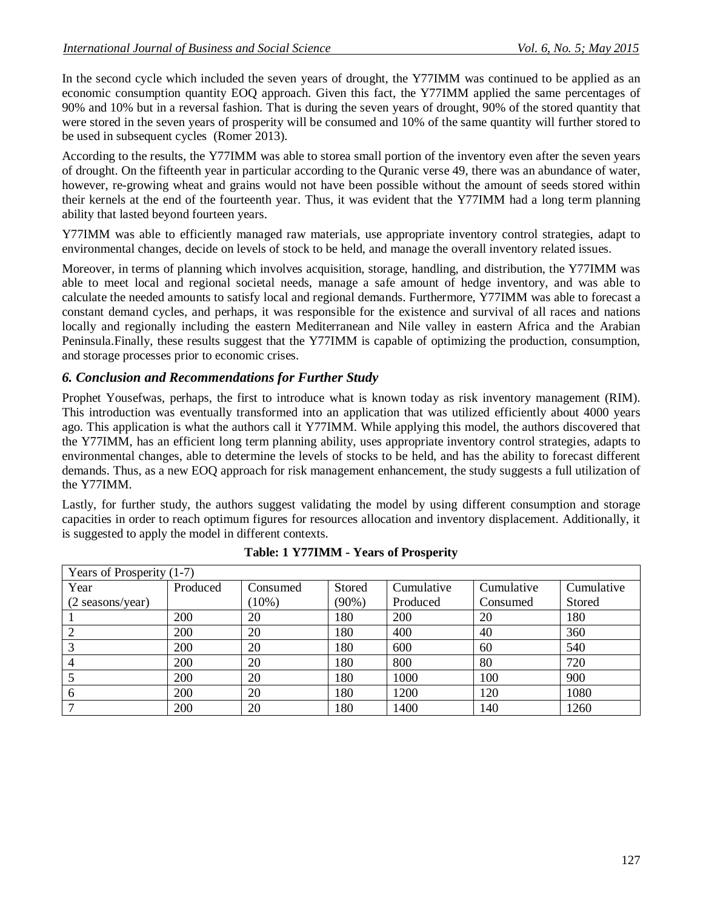In the second cycle which included the seven years of drought, the Y77IMM was continued to be applied as an economic consumption quantity EOQ approach. Given this fact, the Y77IMM applied the same percentages of 90% and 10% but in a reversal fashion. That is during the seven years of drought, 90% of the stored quantity that were stored in the seven years of prosperity will be consumed and 10% of the same quantity will further stored to be used in subsequent cycles (Romer 2013).

According to the results, the Y77IMM was able to storea small portion of the inventory even after the seven years of drought. On the fifteenth year in particular according to the Quranic verse 49, there was an abundance of water, however, re-growing wheat and grains would not have been possible without the amount of seeds stored within their kernels at the end of the fourteenth year. Thus, it was evident that the Y77IMM had a long term planning ability that lasted beyond fourteen years.

Y77IMM was able to efficiently managed raw materials, use appropriate inventory control strategies, adapt to environmental changes, decide on levels of stock to be held, and manage the overall inventory related issues.

Moreover, in terms of planning which involves acquisition, storage, handling, and distribution, the Y77IMM was able to meet local and regional societal needs, manage a safe amount of hedge inventory, and was able to calculate the needed amounts to satisfy local and regional demands. Furthermore, Y77IMM was able to forecast a constant demand cycles, and perhaps, it was responsible for the existence and survival of all races and nations locally and regionally including the eastern Mediterranean and Nile valley in eastern Africa and the Arabian Peninsula.Finally, these results suggest that the Y77IMM is capable of optimizing the production, consumption, and storage processes prior to economic crises.

## *6. Conclusion and Recommendations for Further Study*

Prophet Yousefwas, perhaps, the first to introduce what is known today as risk inventory management (RIM). This introduction was eventually transformed into an application that was utilized efficiently about 4000 years ago. This application is what the authors call it Y77IMM. While applying this model, the authors discovered that the Y77IMM, has an efficient long term planning ability, uses appropriate inventory control strategies, adapts to environmental changes, able to determine the levels of stocks to be held, and has the ability to forecast different demands. Thus, as a new EOQ approach for risk management enhancement, the study suggests a full utilization of the Y77IMM.

Lastly, for further study, the authors suggest validating the model by using different consumption and storage capacities in order to reach optimum figures for resources allocation and inventory displacement. Additionally, it is suggested to apply the model in different contexts.

| Years of Prosperity (1-7) |          |          |          |            |            |            |  |  |  |  |
|---------------------------|----------|----------|----------|------------|------------|------------|--|--|--|--|
| Year                      | Produced | Consumed | Stored   | Cumulative | Cumulative | Cumulative |  |  |  |  |
| (2 seasons/year)          |          | $(10\%)$ | $(90\%)$ | Produced   | Consumed   | Stored     |  |  |  |  |
|                           | 200      | 20       | 180      | 200        | 20         | 180        |  |  |  |  |
| ာ                         | 200      | 20       | 180      | 400        | 40         | 360        |  |  |  |  |
|                           | 200      | 20       | 180      | 600        | 60         | 540        |  |  |  |  |
|                           | 200      | 20       | 180      | 800        | 80         | 720        |  |  |  |  |
|                           | 200      | 20       | 180      | 1000       | 100        | 900        |  |  |  |  |
| 6                         | 200      | 20       | 180      | 1200       | 120        | 1080       |  |  |  |  |
|                           | 200      | 20       | 180      | 1400       | 140        | 1260       |  |  |  |  |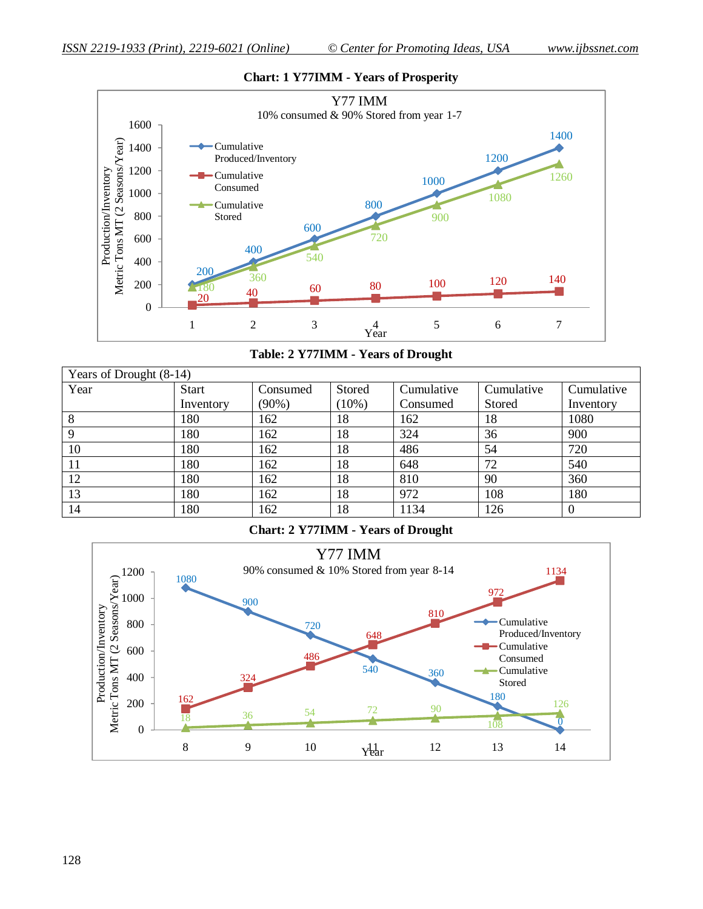

#### **Chart: 1 Y77IMM - Years of Prosperity**

**Table: 2 Y77IMM - Years of Drought**

| Years of Drought (8-14) |              |          |          |            |            |            |  |  |  |  |
|-------------------------|--------------|----------|----------|------------|------------|------------|--|--|--|--|
| Year                    | <b>Start</b> | Consumed | Stored   | Cumulative | Cumulative | Cumulative |  |  |  |  |
|                         | Inventory    | $(90\%)$ | $(10\%)$ | Consumed   | Stored     | Inventory  |  |  |  |  |
|                         | 180          | 162      | 18       | 162        | 18         | 1080       |  |  |  |  |
| Q                       | 180          | 162      | 18       | 324        | 36         | 900        |  |  |  |  |
| 10                      | 180          | 162      | 18       | 486        | 54         | 720        |  |  |  |  |
|                         | 180          | 162      | 18       | 648        | 72         | 540        |  |  |  |  |
| 12                      | 180          | 162      | 18       | 810        | 90         | 360        |  |  |  |  |
| 13                      | 180          | 162      | 18       | 972        | 108        | 180        |  |  |  |  |
| 14                      | 180          | 162      | 18       | 1134       | 126        | $\theta$   |  |  |  |  |

**Chart: 2 Y77IMM - Years of Drought**